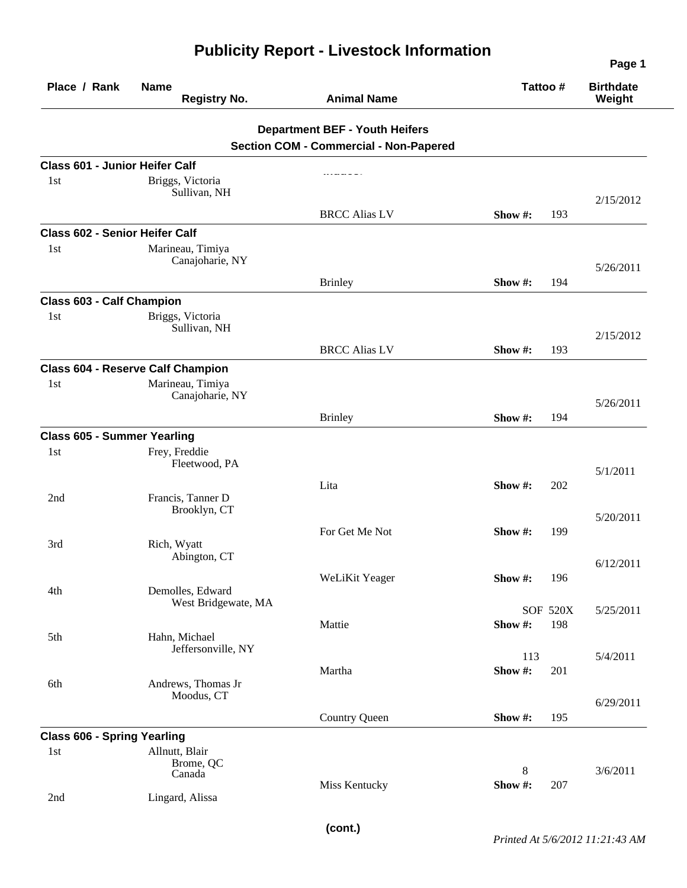|                                       |                                                          |                                               |             |                 | Page 1<br><b>Birthdate</b><br>Weight |
|---------------------------------------|----------------------------------------------------------|-----------------------------------------------|-------------|-----------------|--------------------------------------|
| Place / Rank                          | <b>Name</b><br><b>Registry No.</b><br><b>Animal Name</b> |                                               | Tattoo #    |                 |                                      |
|                                       |                                                          | <b>Department BEF - Youth Heifers</b>         |             |                 |                                      |
|                                       |                                                          | <b>Section COM - Commercial - Non-Papered</b> |             |                 |                                      |
| <b>Class 601 - Junior Heifer Calf</b> |                                                          |                                               |             |                 |                                      |
| 1 <sub>st</sub>                       | Briggs, Victoria<br>Sullivan, NH                         |                                               |             |                 | 2/15/2012                            |
|                                       |                                                          | <b>BRCC Alias LV</b>                          | Show $#$ :  | 193             |                                      |
| <b>Class 602 - Senior Heifer Calf</b> |                                                          |                                               |             |                 |                                      |
| 1st                                   | Marineau, Timiya<br>Canajoharie, NY                      |                                               |             |                 | 5/26/2011                            |
|                                       |                                                          | <b>Brinley</b>                                | Show $#$ :  | 194             |                                      |
| <b>Class 603 - Calf Champion</b>      |                                                          |                                               |             |                 |                                      |
| 1st                                   | Briggs, Victoria<br>Sullivan, NH                         |                                               |             |                 | 2/15/2012                            |
|                                       |                                                          | <b>BRCC Alias LV</b>                          | Show #:     | 193             |                                      |
|                                       | <b>Class 604 - Reserve Calf Champion</b>                 |                                               |             |                 |                                      |
| 1st                                   | Marineau, Timiya<br>Canajoharie, NY                      |                                               |             |                 | 5/26/2011                            |
|                                       |                                                          | <b>Brinley</b>                                | Show #:     | 194             |                                      |
| <b>Class 605 - Summer Yearling</b>    |                                                          |                                               |             |                 |                                      |
| 1st                                   | Frey, Freddie<br>Fleetwood, PA                           |                                               |             |                 | 5/1/2011                             |
| 2nd                                   | Francis, Tanner D<br>Brooklyn, CT                        | Lita                                          | Show #:     | 202             |                                      |
|                                       |                                                          |                                               |             |                 | 5/20/2011                            |
| 3rd                                   | Rich, Wyatt<br>Abington, CT                              | For Get Me Not                                | Show $\#$ : | 199             |                                      |
|                                       |                                                          | WeLiKit Yeager                                | Show #:     | 196             | 6/12/2011                            |
| 4th                                   | Demolles, Edward<br>West Bridgewate, MA                  |                                               |             | <b>SOF 520X</b> | 5/25/2011                            |
| 5th                                   | Hahn, Michael                                            | Mattie                                        | Show#:      | 198             |                                      |
|                                       | Jeffersonville, NY                                       |                                               | 113         |                 | 5/4/2011                             |
| 6th                                   | Andrews, Thomas Jr                                       | Martha                                        | Show#:      | 201             |                                      |
|                                       | Moodus, CT                                               |                                               |             |                 | 6/29/2011                            |
|                                       |                                                          | <b>Country Queen</b>                          | Show #:     | 195             |                                      |
| <b>Class 606 - Spring Yearling</b>    |                                                          |                                               |             |                 |                                      |
| 1st                                   | Allnutt, Blair<br>Brome, QC<br>Canada                    |                                               | 8           |                 | 3/6/2011                             |
| 2nd                                   | Lingard, Alissa                                          | Miss Kentucky                                 | Show #:     | 207             |                                      |

## **Publicity Report - Livestock Information**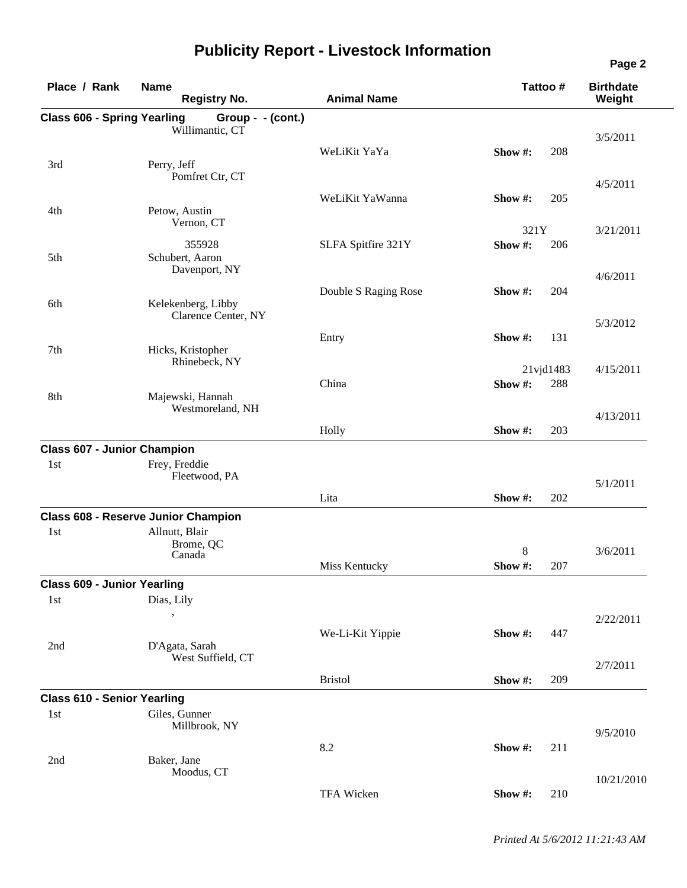| Place / Rank                       | <b>Name</b><br><b>Registry No.</b>         | <b>Animal Name</b>   | Tattoo # |           | <b>Birthdate</b><br>Weight |
|------------------------------------|--------------------------------------------|----------------------|----------|-----------|----------------------------|
|                                    |                                            |                      |          |           |                            |
| <b>Class 606 - Spring Yearling</b> | Group - - (cont.)<br>Willimantic, CT       |                      |          |           |                            |
|                                    |                                            |                      |          |           | 3/5/2011                   |
|                                    |                                            | WeLiKit YaYa         | Show #:  | 208       |                            |
| 3rd                                | Perry, Jeff<br>Pomfret Ctr, CT             |                      |          |           |                            |
|                                    |                                            |                      |          |           | 4/5/2011                   |
|                                    |                                            | WeLiKit YaWanna      | Show #:  | 205       |                            |
| 4th                                | Petow, Austin<br>Vernon, CT                |                      |          |           |                            |
|                                    |                                            |                      | 321Y     |           | 3/21/2011                  |
|                                    | 355928                                     | SLFA Spitfire 321Y   | Show #:  | 206       |                            |
| 5th                                | Schubert, Aaron                            |                      |          |           |                            |
|                                    | Davenport, NY                              |                      |          |           | 4/6/2011                   |
|                                    |                                            | Double S Raging Rose | Show #:  | 204       |                            |
| 6th                                | Kelekenberg, Libby                         |                      |          |           |                            |
|                                    | Clarence Center, NY                        |                      |          |           | 5/3/2012                   |
|                                    |                                            | Entry                | Show #:  | 131       |                            |
| 7th                                | Hicks, Kristopher                          |                      |          |           |                            |
|                                    | Rhinebeck, NY                              |                      |          | 21vjd1483 | 4/15/2011                  |
|                                    |                                            | China                | Show #:  | 288       |                            |
| 8th                                | Majewski, Hannah                           |                      |          |           |                            |
|                                    | Westmoreland, NH                           |                      |          |           |                            |
|                                    |                                            |                      |          | 203       | 4/13/2011                  |
|                                    |                                            | Holly                | Show #:  |           |                            |
| <b>Class 607 - Junior Champion</b> |                                            |                      |          |           |                            |
| 1st                                | Frey, Freddie                              |                      |          |           |                            |
|                                    | Fleetwood, PA                              |                      |          |           | 5/1/2011                   |
|                                    |                                            | Lita                 | Show #:  | 202       |                            |
|                                    | <b>Class 608 - Reserve Junior Champion</b> |                      |          |           |                            |
| 1st                                | Allnutt, Blair                             |                      |          |           |                            |
|                                    | Brome, QC                                  |                      |          |           |                            |
|                                    | Canada                                     |                      | 8        |           | 3/6/2011                   |
|                                    |                                            | Miss Kentucky        | Show #:  | 207       |                            |
| <b>Class 609 - Junior Yearling</b> |                                            |                      |          |           |                            |
| 1st                                | Dias, Lily                                 |                      |          |           |                            |
|                                    |                                            |                      |          |           | 2/22/2011                  |
|                                    |                                            | We-Li-Kit Yippie     | Show #:  | 447       |                            |
| 2nd                                | D'Agata, Sarah                             |                      |          |           |                            |
|                                    | West Suffield, CT                          |                      |          |           | 2/7/2011                   |
|                                    |                                            | <b>Bristol</b>       | Show#:   | 209       |                            |
|                                    |                                            |                      |          |           |                            |
| <b>Class 610 - Senior Yearling</b> |                                            |                      |          |           |                            |
| 1st                                | Giles, Gunner                              |                      |          |           |                            |
|                                    | Millbrook, NY                              |                      |          |           | 9/5/2010                   |
|                                    |                                            | 8.2                  | Show#:   | 211       |                            |
| 2nd                                | Baker, Jane                                |                      |          |           |                            |
|                                    | Moodus, CT                                 |                      |          |           | 10/21/2010                 |
|                                    |                                            | TFA Wicken           | Show#:   | 210       |                            |
|                                    |                                            |                      |          |           |                            |

## **Publicity Report - Livestock Information**

**Page 2**